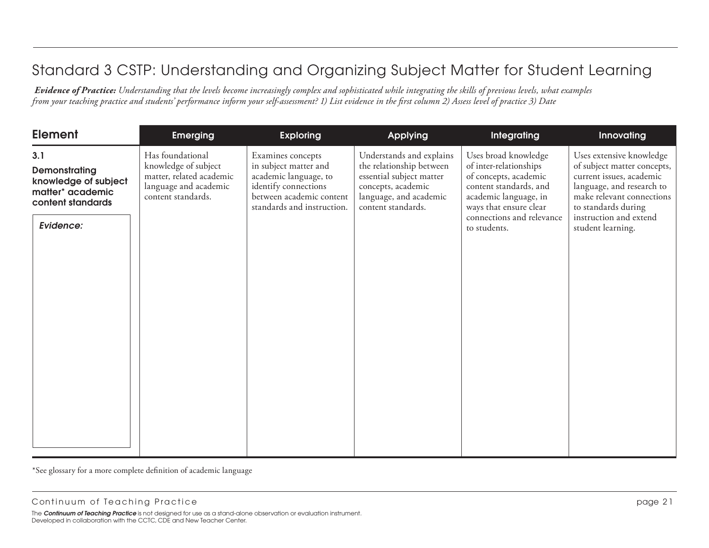*Evidence of Practice: Understanding that the levels become increasingly complex and sophisticated while integrating the skills of previous levels, what examples from your teaching practice and students' performance inform your self-assessment? 1) List evidence in the first column 2) Assess level of practice 3) Date*

| <b>Element</b>                                                                                     | <b>Emerging</b>                                                                                                     | <b>Exploring</b>                                                                                                                                      | Applying                                                                                                                                               | Integrating                                                                                                                                                                                       | Innovating                                                                                                                                                                                                          |
|----------------------------------------------------------------------------------------------------|---------------------------------------------------------------------------------------------------------------------|-------------------------------------------------------------------------------------------------------------------------------------------------------|--------------------------------------------------------------------------------------------------------------------------------------------------------|---------------------------------------------------------------------------------------------------------------------------------------------------------------------------------------------------|---------------------------------------------------------------------------------------------------------------------------------------------------------------------------------------------------------------------|
| 3.1<br>Demonstrating<br>knowledge of subject<br>matter* academic<br>content standards<br>Evidence: | Has foundational<br>knowledge of subject<br>matter, related academic<br>language and academic<br>content standards. | Examines concepts<br>in subject matter and<br>academic language, to<br>identify connections<br>between academic content<br>standards and instruction. | Understands and explains<br>the relationship between<br>essential subject matter<br>concepts, academic<br>language, and academic<br>content standards. | Uses broad knowledge<br>of inter-relationships<br>of concepts, academic<br>content standards, and<br>academic language, in<br>ways that ensure clear<br>connections and relevance<br>to students. | Uses extensive knowledge<br>of subject matter concepts,<br>current issues, academic<br>language, and research to<br>make relevant connections<br>to standards during<br>instruction and extend<br>student learning. |
|                                                                                                    |                                                                                                                     |                                                                                                                                                       |                                                                                                                                                        |                                                                                                                                                                                                   |                                                                                                                                                                                                                     |

\*See glossary for a more complete definition of academic language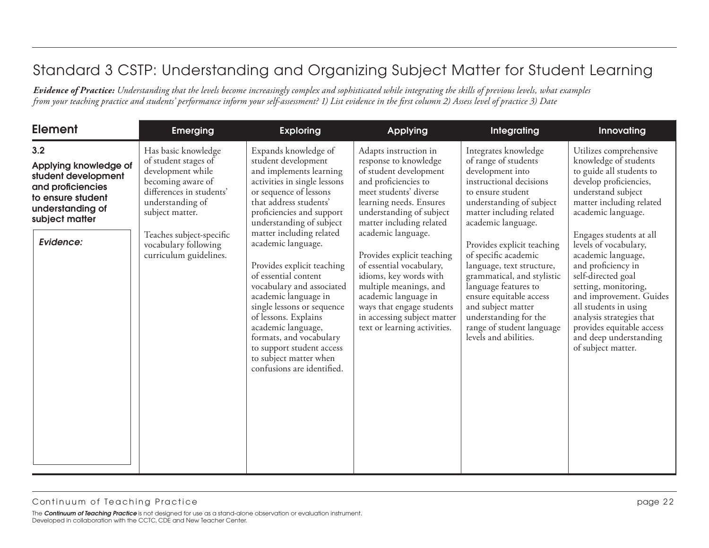| <b>Element</b>                                                                                                                      | <b>Emerging</b>                                                                                                                                          | <b>Exploring</b>                                                                                                                                                                                                                                                                                                                                      | <b>Applying</b>                                                                                                                                                                                                                                      | Integrating                                                                                                                                                                                                                                                           | Innovating                                                                                                                                                                                                                                                                                              |
|-------------------------------------------------------------------------------------------------------------------------------------|----------------------------------------------------------------------------------------------------------------------------------------------------------|-------------------------------------------------------------------------------------------------------------------------------------------------------------------------------------------------------------------------------------------------------------------------------------------------------------------------------------------------------|------------------------------------------------------------------------------------------------------------------------------------------------------------------------------------------------------------------------------------------------------|-----------------------------------------------------------------------------------------------------------------------------------------------------------------------------------------------------------------------------------------------------------------------|---------------------------------------------------------------------------------------------------------------------------------------------------------------------------------------------------------------------------------------------------------------------------------------------------------|
| 3.2<br>Applying knowledge of<br>student development<br>and proficiencies<br>to ensure student<br>understanding of<br>subject matter | Has basic knowledge<br>of student stages of<br>development while<br>becoming aware of<br>differences in students'<br>understanding of<br>subject matter. | Expands knowledge of<br>student development<br>and implements learning<br>activities in single lessons<br>or sequence of lessons<br>that address students'<br>proficiencies and support<br>understanding of subject                                                                                                                                   | Adapts instruction in<br>response to knowledge<br>of student development<br>and proficiencies to<br>meet students' diverse<br>learning needs. Ensures<br>understanding of subject<br>matter including related                                        | Integrates knowledge<br>of range of students<br>development into<br>instructional decisions<br>to ensure student<br>understanding of subject<br>matter including related<br>academic language.                                                                        | Utilizes comprehensive<br>knowledge of students<br>to guide all students to<br>develop proficiencies,<br>understand subject<br>matter including related<br>academic language.                                                                                                                           |
| Evidence:                                                                                                                           | Teaches subject-specific<br>vocabulary following<br>curriculum guidelines.                                                                               | matter including related<br>academic language.<br>Provides explicit teaching<br>of essential content<br>vocabulary and associated<br>academic language in<br>single lessons or sequence<br>of lessons. Explains<br>academic language,<br>formats, and vocabulary<br>to support student access<br>to subject matter when<br>confusions are identified. | academic language.<br>Provides explicit teaching<br>of essential vocabulary,<br>idioms, key words with<br>multiple meanings, and<br>academic language in<br>ways that engage students<br>in accessing subject matter<br>text or learning activities. | Provides explicit teaching<br>of specific academic<br>language, text structure,<br>grammatical, and stylistic<br>language features to<br>ensure equitable access<br>and subject matter<br>understanding for the<br>range of student language<br>levels and abilities. | Engages students at all<br>levels of vocabulary,<br>academic language,<br>and proficiency in<br>self-directed goal<br>setting, monitoring,<br>and improvement. Guides<br>all students in using<br>analysis strategies that<br>provides equitable access<br>and deep understanding<br>of subject matter. |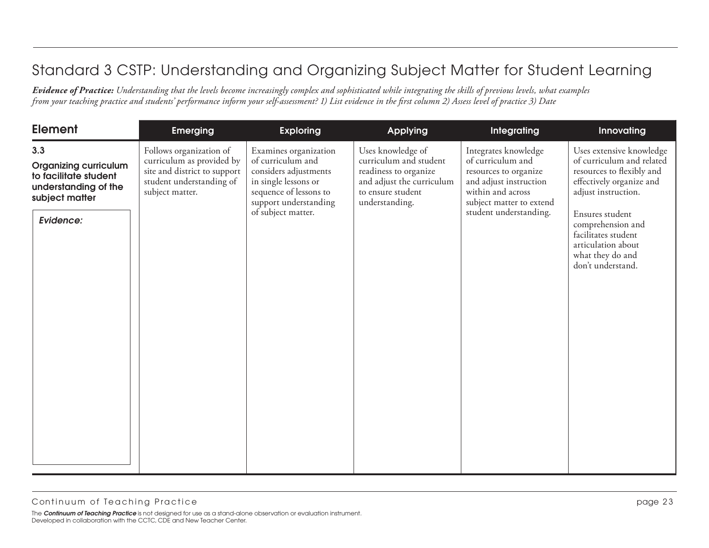| <b>Element</b>                                                                                                      | <b>Emerging</b>                                                                                                                     | <b>Exploring</b>                                                                                                                                                     | Applying                                                                                                                                 | <b>Integrating</b>                                                                                                                                                      | Innovating                                                                                                                                                                                                                                                          |
|---------------------------------------------------------------------------------------------------------------------|-------------------------------------------------------------------------------------------------------------------------------------|----------------------------------------------------------------------------------------------------------------------------------------------------------------------|------------------------------------------------------------------------------------------------------------------------------------------|-------------------------------------------------------------------------------------------------------------------------------------------------------------------------|---------------------------------------------------------------------------------------------------------------------------------------------------------------------------------------------------------------------------------------------------------------------|
| 3.3<br><b>Organizing curriculum</b><br>to facilitate student<br>understanding of the<br>subject matter<br>Evidence: | Follows organization of<br>curriculum as provided by<br>site and district to support<br>student understanding of<br>subject matter. | Examines organization<br>of curriculum and<br>considers adjustments<br>in single lessons or<br>sequence of lessons to<br>support understanding<br>of subject matter. | Uses knowledge of<br>curriculum and student<br>readiness to organize<br>and adjust the curriculum<br>to ensure student<br>understanding. | Integrates knowledge<br>of curriculum and<br>resources to organize<br>and adjust instruction<br>within and across<br>subject matter to extend<br>student understanding. | Uses extensive knowledge<br>of curriculum and related<br>resources to flexibly and<br>effectively organize and<br>adjust instruction.<br>Ensures student<br>comprehension and<br>facilitates student<br>articulation about<br>what they do and<br>don't understand. |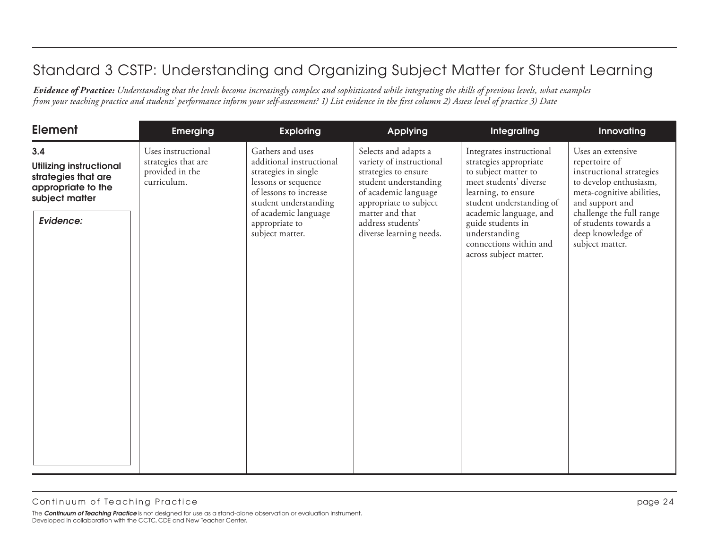| <b>Element</b>                                                                                                    | <b>Emerging</b>                                                             | <b>Exploring</b>                                                                                                                                                                                            | <b>Applying</b>                                                                                                                                                                                                        | Integrating                                                                                                                                                                                                                                                                 | Innovating                                                                                                                                                                                                                            |
|-------------------------------------------------------------------------------------------------------------------|-----------------------------------------------------------------------------|-------------------------------------------------------------------------------------------------------------------------------------------------------------------------------------------------------------|------------------------------------------------------------------------------------------------------------------------------------------------------------------------------------------------------------------------|-----------------------------------------------------------------------------------------------------------------------------------------------------------------------------------------------------------------------------------------------------------------------------|---------------------------------------------------------------------------------------------------------------------------------------------------------------------------------------------------------------------------------------|
| 3.4<br><b>Utilizing instructional</b><br>strategies that are<br>appropriate to the<br>subject matter<br>Evidence: | Uses instructional<br>strategies that are<br>provided in the<br>curriculum. | Gathers and uses<br>additional instructional<br>strategies in single<br>lessons or sequence<br>of lessons to increase<br>student understanding<br>of academic language<br>appropriate to<br>subject matter. | Selects and adapts a<br>variety of instructional<br>strategies to ensure<br>student understanding<br>of academic language<br>appropriate to subject<br>matter and that<br>address students'<br>diverse learning needs. | Integrates instructional<br>strategies appropriate<br>to subject matter to<br>meet students' diverse<br>learning, to ensure<br>student understanding of<br>academic language, and<br>guide students in<br>understanding<br>connections within and<br>across subject matter. | Uses an extensive<br>repertoire of<br>instructional strategies<br>to develop enthusiasm,<br>meta-cognitive abilities,<br>and support and<br>challenge the full range<br>of students towards a<br>deep knowledge of<br>subject matter. |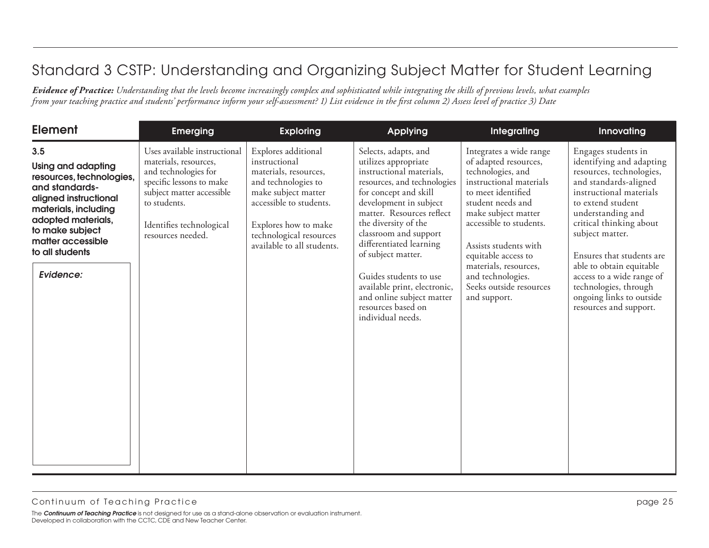| <b>Element</b>                                                                                                                                                                                                                | <b>Emerging</b>                                                                                                                                                                                         | <b>Exploring</b>                                                                                                                                                                                                        | <b>Applying</b>                                                                                                                                                                                                                                                                                                                                                                                                             | Integrating                                                                                                                                                                                                                                                                                                                            | Innovating                                                                                                                                                                                                                                                                                                                                                                                   |
|-------------------------------------------------------------------------------------------------------------------------------------------------------------------------------------------------------------------------------|---------------------------------------------------------------------------------------------------------------------------------------------------------------------------------------------------------|-------------------------------------------------------------------------------------------------------------------------------------------------------------------------------------------------------------------------|-----------------------------------------------------------------------------------------------------------------------------------------------------------------------------------------------------------------------------------------------------------------------------------------------------------------------------------------------------------------------------------------------------------------------------|----------------------------------------------------------------------------------------------------------------------------------------------------------------------------------------------------------------------------------------------------------------------------------------------------------------------------------------|----------------------------------------------------------------------------------------------------------------------------------------------------------------------------------------------------------------------------------------------------------------------------------------------------------------------------------------------------------------------------------------------|
| 3.5<br><b>Using and adapting</b><br>resources, technologies,<br>and standards-<br>aligned instructional<br>materials, including<br>adopted materials,<br>to make subject<br>matter accessible<br>to all students<br>Evidence: | Uses available instructional<br>materials, resources,<br>and technologies for<br>specific lessons to make<br>subject matter accessible<br>to students.<br>Identifies technological<br>resources needed. | Explores additional<br>instructional<br>materials, resources,<br>and technologies to<br>make subject matter<br>accessible to students.<br>Explores how to make<br>technological resources<br>available to all students. | Selects, adapts, and<br>utilizes appropriate<br>instructional materials,<br>resources, and technologies<br>for concept and skill<br>development in subject<br>matter. Resources reflect<br>the diversity of the<br>classroom and support<br>differentiated learning<br>of subject matter.<br>Guides students to use<br>available print, electronic,<br>and online subject matter<br>resources based on<br>individual needs. | Integrates a wide range<br>of adapted resources,<br>technologies, and<br>instructional materials<br>to meet identified<br>student needs and<br>make subject matter<br>accessible to students.<br>Assists students with<br>equitable access to<br>materials, resources,<br>and technologies.<br>Seeks outside resources<br>and support. | Engages students in<br>identifying and adapting<br>resources, technologies,<br>and standards-aligned<br>instructional materials<br>to extend student<br>understanding and<br>critical thinking about<br>subject matter.<br>Ensures that students are<br>able to obtain equitable<br>access to a wide range of<br>technologies, through<br>ongoing links to outside<br>resources and support. |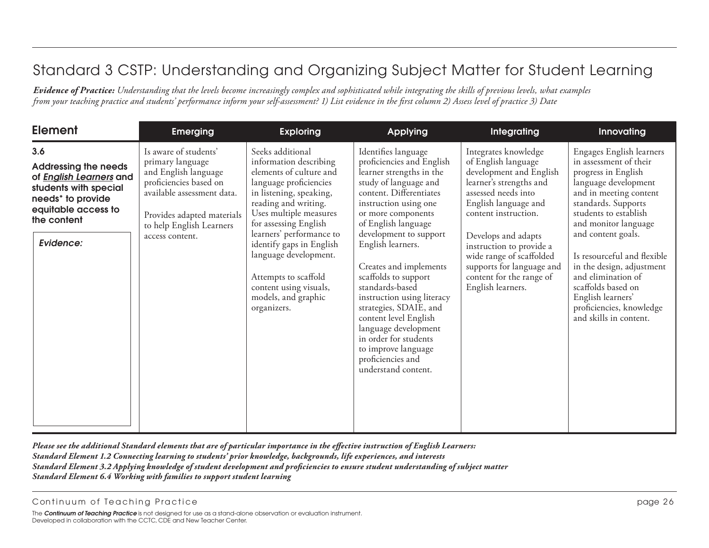*Evidence of Practice: Understanding that the levels become increasingly complex and sophisticated while integrating the skills of previous levels, what examples from your teaching practice and students' performance inform your self-assessment? 1) List evidence in the first column 2) Assess level of practice 3) Date*

| <b>Element</b>                                                                                                                                                                    | <b>Emerging</b>                                                                                                                                                                                        | <b>Exploring</b>                                                                                                                                                                                                                                                                                                                                                               | <b>Applying</b>                                                                                                                                                                                                                                                                                                                                                                                                                                                                                                                 | Integrating                                                                                                                                                                                                                                                                                                                           | <b>Innovating</b>                                                                                                                                                                                                                                                                                                                                                                                            |
|-----------------------------------------------------------------------------------------------------------------------------------------------------------------------------------|--------------------------------------------------------------------------------------------------------------------------------------------------------------------------------------------------------|--------------------------------------------------------------------------------------------------------------------------------------------------------------------------------------------------------------------------------------------------------------------------------------------------------------------------------------------------------------------------------|---------------------------------------------------------------------------------------------------------------------------------------------------------------------------------------------------------------------------------------------------------------------------------------------------------------------------------------------------------------------------------------------------------------------------------------------------------------------------------------------------------------------------------|---------------------------------------------------------------------------------------------------------------------------------------------------------------------------------------------------------------------------------------------------------------------------------------------------------------------------------------|--------------------------------------------------------------------------------------------------------------------------------------------------------------------------------------------------------------------------------------------------------------------------------------------------------------------------------------------------------------------------------------------------------------|
| 3.6<br><b>Addressing the needs</b><br>of <b>English Learners</b> and<br>students with special<br>needs <sup>*</sup> to provide<br>equitable access to<br>the content<br>Evidence: | Is aware of students'<br>primary language<br>and English language<br>proficiencies based on<br>available assessment data.<br>Provides adapted materials<br>to help English Learners<br>access content. | Seeks additional<br>information describing<br>elements of culture and<br>language proficiencies<br>in listening, speaking,<br>reading and writing.<br>Uses multiple measures<br>for assessing English<br>learners' performance to<br>identify gaps in English<br>language development.<br>Attempts to scaffold<br>content using visuals,<br>models, and graphic<br>organizers. | Identifies language<br>proficiencies and English<br>learner strengths in the<br>study of language and<br>content. Differentiates<br>instruction using one<br>or more components<br>of English language<br>development to support<br>English learners.<br>Creates and implements<br>scaffolds to support<br>standards-based<br>instruction using literacy<br>strategies, SDAIE, and<br>content level English<br>language development<br>in order for students<br>to improve language<br>proficiencies and<br>understand content. | Integrates knowledge<br>of English language<br>development and English<br>learner's strengths and<br>assessed needs into<br>English language and<br>content instruction.<br>Develops and adapts<br>instruction to provide a<br>wide range of scaffolded<br>supports for language and<br>content for the range of<br>English learners. | Engages English learners<br>in assessment of their<br>progress in English<br>language development<br>and in meeting content<br>standards. Supports<br>students to establish<br>and monitor language<br>and content goals.<br>Is resourceful and flexible<br>in the design, adjustment<br>and elimination of<br>scaffolds based on<br>English learners'<br>proficiencies, knowledge<br>and skills in content. |

*Please see the additional Standard elements that are of particular importance in the effective instruction of English Learners: Standard Element 1.2 Connecting learning to students' prior knowledge, backgrounds, life experiences, and interests Standard Element 3.2 Applying knowledge of student development and proficiencies to ensure student understanding of subject matter Standard Element 6.4 Working with families to support student learning*

Continuum of Teaching Practice **the continuum of Teaching Practice** and the page 26 of the page 26 of the page 26 of the page 26 of the page 26 of the page 26 of the page 26 of the page 26 of the page 26 of the page 26 of

The *Continuum of Teaching Practice* is not designed for use as a stand-alone observation or evaluation instrument. Developed in collaboration with the CCTC, CDE and New Teacher Center.